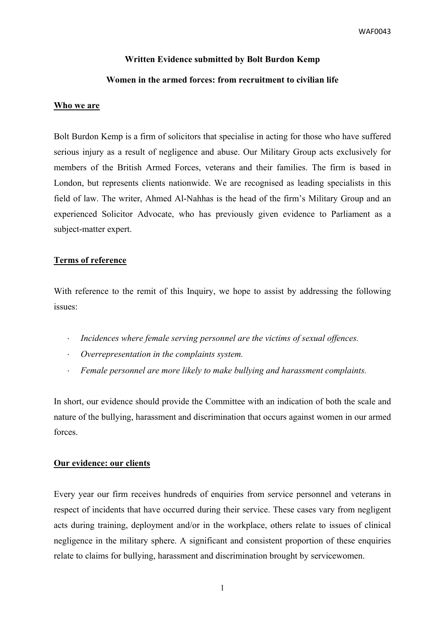WAF0043

# **Written Evidence submitted by Bolt Burdon Kemp**

# **Women in the armed forces: from recruitment to civilian life**

### **Who we are**

Bolt Burdon Kemp is a firm of solicitors that specialise in acting for those who have suffered serious injury as a result of negligence and abuse. Our Military Group acts exclusively for members of the British Armed Forces, veterans and their families. The firm is based in London, but represents clients nationwide. We are recognised as leading specialists in this field of law. The writer, Ahmed Al-Nahhas is the head of the firm's Military Group and an experienced Solicitor Advocate, who has previously given evidence to Parliament as a subject-matter expert.

## **Terms of reference**

With reference to the remit of this Inquiry, we hope to assist by addressing the following issues:

- *Incidences where female serving personnel are the victims of sexual offences.*
- *Overrepresentation in the complaints system.*
- *Female personnel are more likely to make bullying and harassment complaints.*

In short, our evidence should provide the Committee with an indication of both the scale and nature of the bullying, harassment and discrimination that occurs against women in our armed forces.

## **Our evidence: our clients**

Every year our firm receives hundreds of enquiries from service personnel and veterans in respect of incidents that have occurred during their service. These cases vary from negligent acts during training, deployment and/or in the workplace, others relate to issues of clinical negligence in the military sphere. A significant and consistent proportion of these enquiries relate to claims for bullying, harassment and discrimination brought by servicewomen.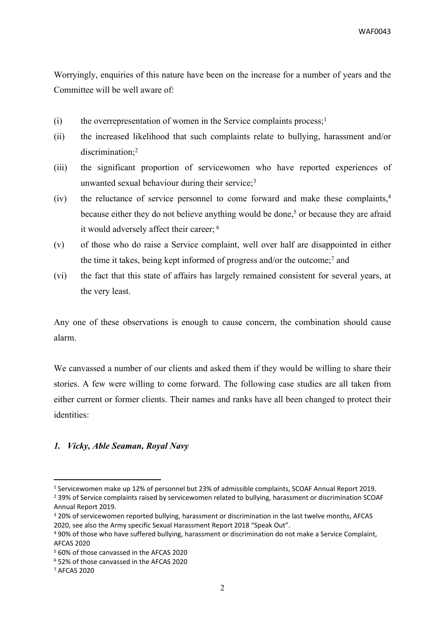Worryingly, enquiries of this nature have been on the increase for a number of years and the Committee will be well aware of:

- (i) the overrepresentation of women in the Service complaints process:  $\frac{1}{1}$
- (ii) the increased likelihood that such complaints relate to bullying, harassment and/or discrimination;<sup>2</sup>
- (iii) the significant proportion of servicewomen who have reported experiences of unwanted sexual behaviour during their service; $3$
- (iv) the reluctance of service personnel to come forward and make these complaints,<sup>4</sup> because either they do not believe anything would be done,<sup>5</sup> or because they are afraid it would adversely affect their career; <sup>6</sup>
- (v) of those who do raise a Service complaint, well over half are disappointed in either the time it takes, being kept informed of progress and/or the outcome;<sup>7</sup> and
- (vi) the fact that this state of affairs has largely remained consistent for several years, at the very least.

Any one of these observations is enough to cause concern, the combination should cause alarm.

We canvassed a number of our clients and asked them if they would be willing to share their stories. A few were willing to come forward. The following case studies are all taken from either current or former clients. Their names and ranks have all been changed to protect their identities:

# *1. Vicky, Able Seaman, Royal Navy*

<sup>1</sup> Servicewomen make up 12% of personnel but 23% of admissible complaints, SCOAF Annual Report 2019.

<sup>&</sup>lt;sup>2</sup> 39% of Service complaints raised by servicewomen related to bullying, harassment or discrimination SCOAF Annual Report 2019.

<sup>3</sup> 20% of servicewomen reported bullying, harassment or discrimination in the last twelve months, AFCAS 2020, see also the Army specific Sexual Harassment Report 2018 "Speak Out".

<sup>4</sup> 90% of those who have suffered bullying, harassment or discrimination do not make a Service Complaint, AFCAS 2020

<sup>5</sup> 60% of those canvassed in the AFCAS 2020

<sup>6</sup> 52% of those canvassed in the AFCAS 2020

<sup>7</sup> AFCAS 2020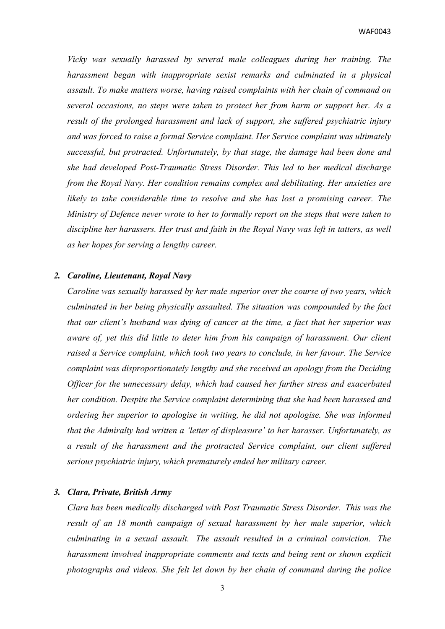WAF0043

*Vicky was sexually harassed by several male colleagues during her training. The harassment began with inappropriate sexist remarks and culminated in a physical assault. To make matters worse, having raised complaints with her chain of command on several occasions, no steps were taken to protect her from harm or support her. As a result of the prolonged harassment and lack of support, she suffered psychiatric injury and was forced to raise a formal Service complaint. Her Service complaint was ultimately successful, but protracted. Unfortunately, by that stage, the damage had been done and she had developed Post-Traumatic Stress Disorder. This led to her medical discharge from the Royal Navy. Her condition remains complex and debilitating. Her anxieties are likely to take considerable time to resolve and she has lost a promising career. The Ministry of Defence never wrote to her to formally report on the steps that were taken to discipline her harassers. Her trust and faith in the Royal Navy was left in tatters, as well as her hopes for serving a lengthy career.*

### *2. Caroline, Lieutenant, Royal Navy*

*Caroline was sexually harassed by her male superior over the course of two years, which culminated in her being physically assaulted. The situation was compounded by the fact that our client's husband was dying of cancer at the time, a fact that her superior was aware of, yet this did little to deter him from his campaign of harassment. Our client raised a Service complaint, which took two years to conclude, in her favour. The Service complaint was disproportionately lengthy and she received an apology from the Deciding Officer for the unnecessary delay, which had caused her further stress and exacerbated her condition. Despite the Service complaint determining that she had been harassed and ordering her superior to apologise in writing, he did not apologise. She was informed that the Admiralty had written a 'letter of displeasure' to her harasser. Unfortunately, as a result of the harassment and the protracted Service complaint, our client suffered serious psychiatric injury, which prematurely ended her military career.*

#### *3. Clara, Private, British Army*

*Clara has been medically discharged with Post Traumatic Stress Disorder. This was the result of an 18 month campaign of sexual harassment by her male superior, which culminating in a sexual assault. The assault resulted in a criminal conviction. The harassment involved inappropriate comments and texts and being sent or shown explicit photographs and videos. She felt let down by her chain of command during the police*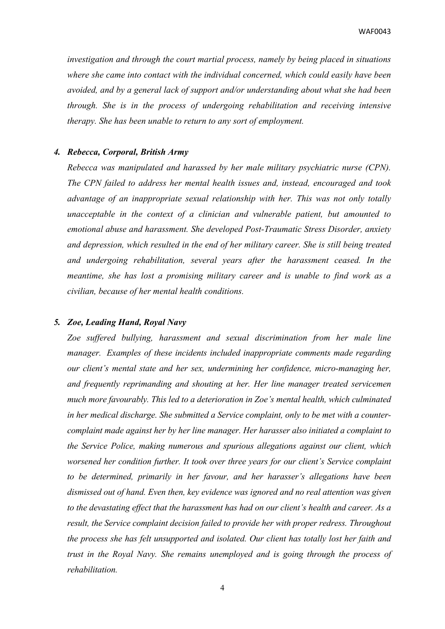*investigation and through the court martial process, namely by being placed in situations where she came into contact with the individual concerned, which could easily have been avoided, and by a general lack of support and/or understanding about what she had been through. She is in the process of undergoing rehabilitation and receiving intensive therapy. She has been unable to return to any sort of employment.*

# *4. Rebecca, Corporal, British Army*

*Rebecca was manipulated and harassed by her male military psychiatric nurse (CPN). The CPN failed to address her mental health issues and, instead, encouraged and took advantage of an inappropriate sexual relationship with her. This was not only totally unacceptable in the context of a clinician and vulnerable patient, but amounted to emotional abuse and harassment. She developed Post-Traumatic Stress Disorder, anxiety and depression, which resulted in the end of her military career. She is still being treated and undergoing rehabilitation, several years after the harassment ceased. In the meantime, she has lost a promising military career and is unable to find work as a civilian, because of her mental health conditions.*

### *5. Zoe, Leading Hand, Royal Navy*

*Zoe suffered bullying, harassment and sexual discrimination from her male line manager. Examples of these incidents included inappropriate comments made regarding our client's mental state and her sex, undermining her confidence, micro-managing her, and frequently reprimanding and shouting at her. Her line manager treated servicemen much more favourably. This led to a deterioration in Zoe's mental health, which culminated in her medical discharge. She submitted a Service complaint, only to be met with a countercomplaint made against her by her line manager. Her harasser also initiated a complaint to the Service Police, making numerous and spurious allegations against our client, which worsened her condition further. It took over three years for our client's Service complaint to be determined, primarily in her favour, and her harasser's allegations have been dismissed out of hand. Even then, key evidence was ignored and no real attention was given to the devastating effect that the harassment has had on our client's health and career. As a result, the Service complaint decision failed to provide her with proper redress. Throughout the process she has felt unsupported and isolated. Our client has totally lost her faith and trust in the Royal Navy. She remains unemployed and is going through the process of rehabilitation.*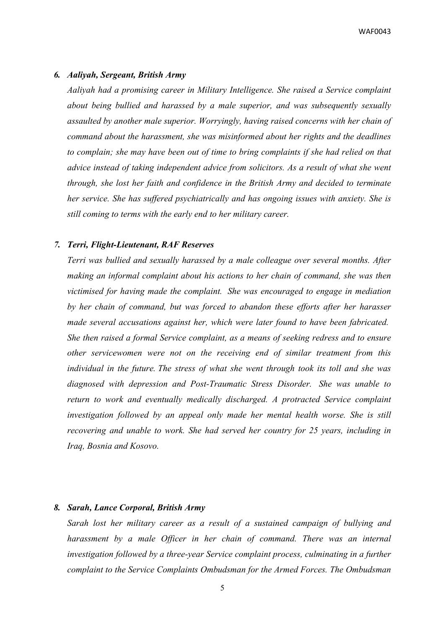WAF0043

#### *6. Aaliyah, Sergeant, British Army*

*Aaliyah had a promising career in Military Intelligence. She raised a Service complaint about being bullied and harassed by a male superior, and was subsequently sexually assaulted by another male superior. Worryingly, having raised concerns with her chain of command about the harassment, she was misinformed about her rights and the deadlines to complain; she may have been out of time to bring complaints if she had relied on that advice instead of taking independent advice from solicitors. As a result of what she went through, she lost her faith and confidence in the British Army and decided to terminate her service. She has suffered psychiatrically and has ongoing issues with anxiety. She is still coming to terms with the early end to her military career.*

### *7. Terri, Flight-Lieutenant, RAF Reserves*

*Terri was bullied and sexually harassed by a male colleague over several months. After making an informal complaint about his actions to her chain of command, she was then victimised for having made the complaint. She was encouraged to engage in mediation by her chain of command, but was forced to abandon these efforts after her harasser made several accusations against her, which were later found to have been fabricated. She then raised a formal Service complaint, as a means of seeking redress and to ensure other servicewomen were not on the receiving end of similar treatment from this individual in the future. The stress of what she went through took its toll and she was diagnosed with depression and Post-Traumatic Stress Disorder. She was unable to return to work and eventually medically discharged. A protracted Service complaint investigation followed by an appeal only made her mental health worse. She is still recovering and unable to work. She had served her country for 25 years, including in Iraq, Bosnia and Kosovo.*

# *8. Sarah, Lance Corporal, British Army*

*Sarah lost her military career as a result of a sustained campaign of bullying and harassment by a male Officer in her chain of command. There was an internal investigation followed by a three-year Service complaint process, culminating in a further complaint to the Service Complaints Ombudsman for the Armed Forces. The Ombudsman*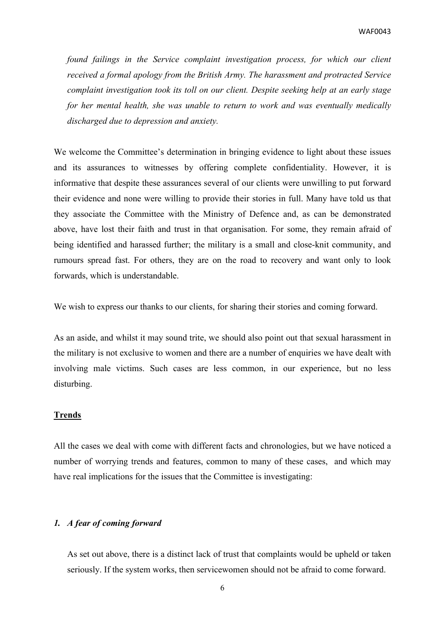*found failings in the Service complaint investigation process, for which our client received a formal apology from the British Army. The harassment and protracted Service complaint investigation took its toll on our client. Despite seeking help at an early stage for her mental health, she was unable to return to work and was eventually medically discharged due to depression and anxiety.*

We welcome the Committee's determination in bringing evidence to light about these issues and its assurances to witnesses by offering complete confidentiality. However, it is informative that despite these assurances several of our clients were unwilling to put forward their evidence and none were willing to provide their stories in full. Many have told us that they associate the Committee with the Ministry of Defence and, as can be demonstrated above, have lost their faith and trust in that organisation. For some, they remain afraid of being identified and harassed further; the military is a small and close-knit community, and rumours spread fast. For others, they are on the road to recovery and want only to look forwards, which is understandable.

We wish to express our thanks to our clients, for sharing their stories and coming forward.

As an aside, and whilst it may sound trite, we should also point out that sexual harassment in the military is not exclusive to women and there are a number of enquiries we have dealt with involving male victims. Such cases are less common, in our experience, but no less disturbing.

#### **Trends**

All the cases we deal with come with different facts and chronologies, but we have noticed a number of worrying trends and features, common to many of these cases, and which may have real implications for the issues that the Committee is investigating:

# *1. A fear of coming forward*

As set out above, there is a distinct lack of trust that complaints would be upheld or taken seriously. If the system works, then servicewomen should not be afraid to come forward.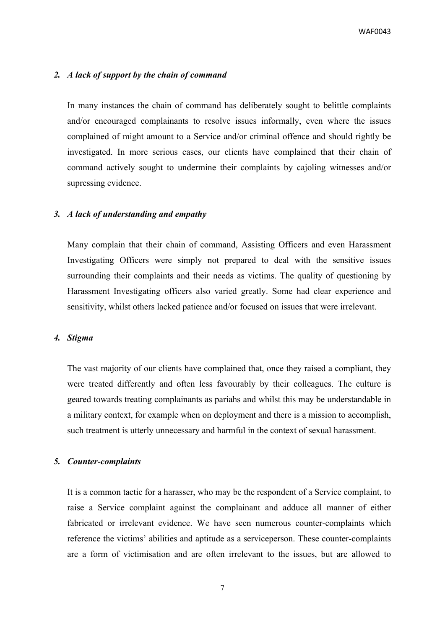# *2. A lack of support by the chain of command*

In many instances the chain of command has deliberately sought to belittle complaints and/or encouraged complainants to resolve issues informally, even where the issues complained of might amount to a Service and/or criminal offence and should rightly be investigated. In more serious cases, our clients have complained that their chain of command actively sought to undermine their complaints by cajoling witnesses and/or supressing evidence.

## *3. A lack of understanding and empathy*

Many complain that their chain of command, Assisting Officers and even Harassment Investigating Officers were simply not prepared to deal with the sensitive issues surrounding their complaints and their needs as victims. The quality of questioning by Harassment Investigating officers also varied greatly. Some had clear experience and sensitivity, whilst others lacked patience and/or focused on issues that were irrelevant.

# *4. Stigma*

The vast majority of our clients have complained that, once they raised a compliant, they were treated differently and often less favourably by their colleagues. The culture is geared towards treating complainants as pariahs and whilst this may be understandable in a military context, for example when on deployment and there is a mission to accomplish, such treatment is utterly unnecessary and harmful in the context of sexual harassment.

# *5. Counter-complaints*

It is a common tactic for a harasser, who may be the respondent of a Service complaint, to raise a Service complaint against the complainant and adduce all manner of either fabricated or irrelevant evidence. We have seen numerous counter-complaints which reference the victims' abilities and aptitude as a serviceperson. These counter-complaints are a form of victimisation and are often irrelevant to the issues, but are allowed to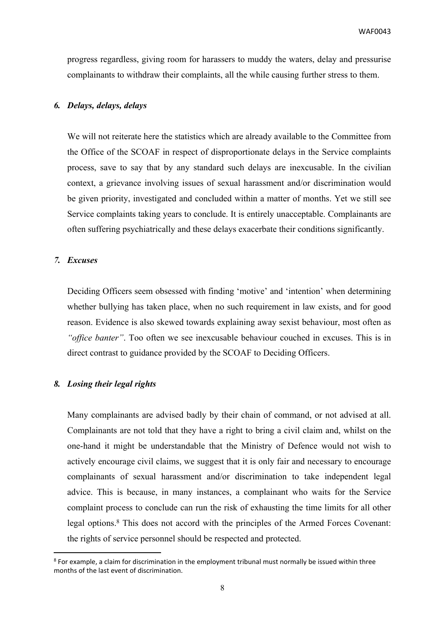progress regardless, giving room for harassers to muddy the waters, delay and pressurise complainants to withdraw their complaints, all the while causing further stress to them.

# *6. Delays, delays, delays*

We will not reiterate here the statistics which are already available to the Committee from the Office of the SCOAF in respect of disproportionate delays in the Service complaints process, save to say that by any standard such delays are inexcusable. In the civilian context, a grievance involving issues of sexual harassment and/or discrimination would be given priority, investigated and concluded within a matter of months. Yet we still see Service complaints taking years to conclude. It is entirely unacceptable. Complainants are often suffering psychiatrically and these delays exacerbate their conditions significantly.

# *7. Excuses*

Deciding Officers seem obsessed with finding 'motive' and 'intention' when determining whether bullying has taken place, when no such requirement in law exists, and for good reason. Evidence is also skewed towards explaining away sexist behaviour, most often as *"office banter"*. Too often we see inexcusable behaviour couched in excuses. This is in direct contrast to guidance provided by the SCOAF to Deciding Officers.

# *8. Losing their legal rights*

Many complainants are advised badly by their chain of command, or not advised at all. Complainants are not told that they have a right to bring a civil claim and, whilst on the one-hand it might be understandable that the Ministry of Defence would not wish to actively encourage civil claims, we suggest that it is only fair and necessary to encourage complainants of sexual harassment and/or discrimination to take independent legal advice. This is because, in many instances, a complainant who waits for the Service complaint process to conclude can run the risk of exhausting the time limits for all other legal options.<sup>8</sup> This does not accord with the principles of the Armed Forces Covenant: the rights of service personnel should be respected and protected.

<sup>8</sup> For example, a claim for discrimination in the employment tribunal must normally be issued within three months of the last event of discrimination.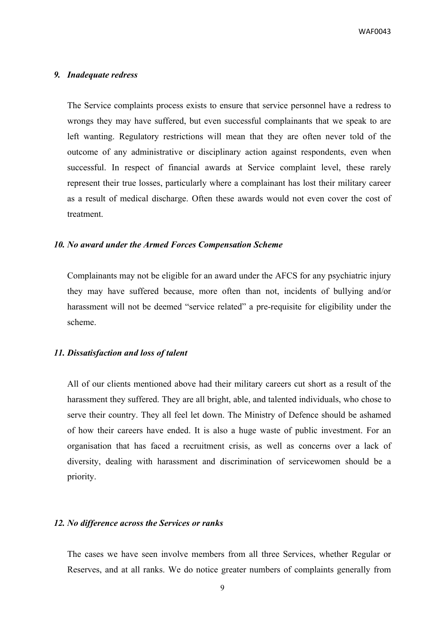#### *9. Inadequate redress*

The Service complaints process exists to ensure that service personnel have a redress to wrongs they may have suffered, but even successful complainants that we speak to are left wanting. Regulatory restrictions will mean that they are often never told of the outcome of any administrative or disciplinary action against respondents, even when successful. In respect of financial awards at Service complaint level, these rarely represent their true losses, particularly where a complainant has lost their military career as a result of medical discharge. Often these awards would not even cover the cost of treatment.

#### *10. No award under the Armed Forces Compensation Scheme*

Complainants may not be eligible for an award under the AFCS for any psychiatric injury they may have suffered because, more often than not, incidents of bullying and/or harassment will not be deemed "service related" a pre-requisite for eligibility under the scheme.

# *11. Dissatisfaction and loss of talent*

All of our clients mentioned above had their military careers cut short as a result of the harassment they suffered. They are all bright, able, and talented individuals, who chose to serve their country. They all feel let down. The Ministry of Defence should be ashamed of how their careers have ended. It is also a huge waste of public investment. For an organisation that has faced a recruitment crisis, as well as concerns over a lack of diversity, dealing with harassment and discrimination of servicewomen should be a priority.

### *12. No difference across the Services or ranks*

The cases we have seen involve members from all three Services, whether Regular or Reserves, and at all ranks. We do notice greater numbers of complaints generally from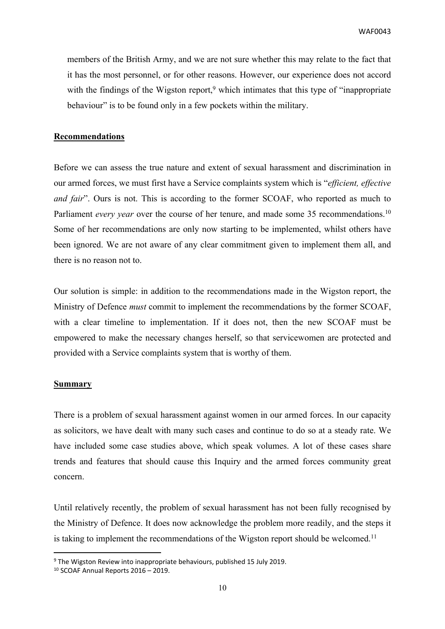members of the British Army, and we are not sure whether this may relate to the fact that it has the most personnel, or for other reasons. However, our experience does not accord with the findings of the Wigston report,<sup>9</sup> which intimates that this type of "inappropriate" behaviour" is to be found only in a few pockets within the military.

### **Recommendations**

Before we can assess the true nature and extent of sexual harassment and discrimination in our armed forces, we must first have a Service complaints system which is "*efficient, effective and fair*". Ours is not. This is according to the former SCOAF, who reported as much to Parliament *every year* over the course of her tenure, and made some 35 recommendations.<sup>10</sup> Some of her recommendations are only now starting to be implemented, whilst others have been ignored. We are not aware of any clear commitment given to implement them all, and there is no reason not to.

Our solution is simple: in addition to the recommendations made in the Wigston report, the Ministry of Defence *must* commit to implement the recommendations by the former SCOAF, with a clear timeline to implementation. If it does not, then the new SCOAF must be empowered to make the necessary changes herself, so that servicewomen are protected and provided with a Service complaints system that is worthy of them.

#### **Summary**

There is a problem of sexual harassment against women in our armed forces. In our capacity as solicitors, we have dealt with many such cases and continue to do so at a steady rate. We have included some case studies above, which speak volumes. A lot of these cases share trends and features that should cause this Inquiry and the armed forces community great concern.

Until relatively recently, the problem of sexual harassment has not been fully recognised by the Ministry of Defence. It does now acknowledge the problem more readily, and the steps it is taking to implement the recommendations of the Wigston report should be welcomed.<sup>11</sup>

<sup>9</sup> The Wigston Review into inappropriate behaviours, published 15 July 2019.

<sup>10</sup> SCOAF Annual Reports 2016 – 2019.